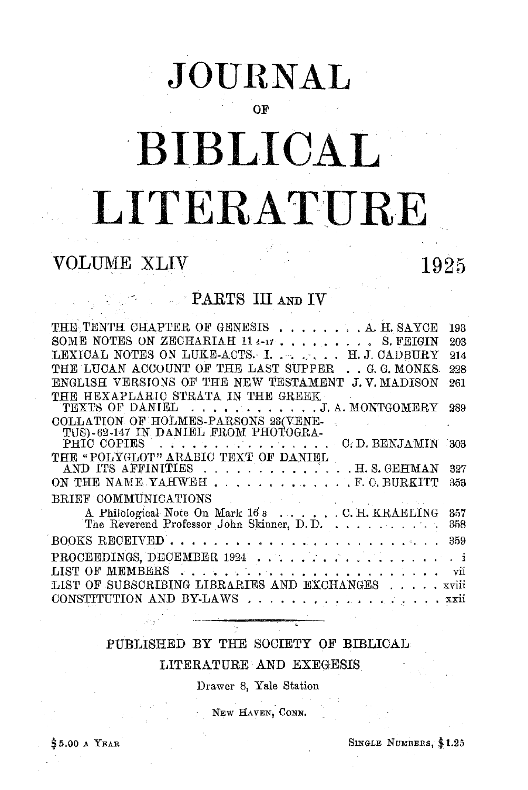# JOURNAL

OF

# BIBLICAL LITERATURE

## **VOLUME XLIV**

# 1925

### PARTS III AND IV

| THE TENTH CHAPTER OF GENESIS A. H. SAYCE                                                                                                                                                                                                                          | 193   |
|-------------------------------------------------------------------------------------------------------------------------------------------------------------------------------------------------------------------------------------------------------------------|-------|
| SOME NOTES ON ZECHARIAH 11 4-17 S. FEIGIN                                                                                                                                                                                                                         | 203   |
| LEXICAL NOTES ON LUKE-ACTS. I. H.J. CADBURY                                                                                                                                                                                                                       | 214   |
| THE LUCAN ACCOUNT OF THE LAST SUPPER G. G. MONKS                                                                                                                                                                                                                  | 228   |
| ENGLISH VERSIONS OF THE NEW TESTAMENT<br>J.V. MADISON                                                                                                                                                                                                             | 261   |
| THE HEXAPLARIC STRATA IN THE GREEK                                                                                                                                                                                                                                |       |
| TEXTS OF DANIEL J. A. MONTGOMERY                                                                                                                                                                                                                                  | 289   |
| COLLATION OF HOLMES-PARSONS 23(VENE-<br>$\mathcal{L}(\mathcal{A})$ and $\mathcal{L}(\mathcal{A})$ and $\mathcal{L}(\mathcal{A})$ and                                                                                                                              |       |
| TUS)-62-147 IN DANIEL FROM PHOTOGRA-<br>C.D. BENJAMIN 303<br>PHIC COPIES                                                                                                                                                                                          |       |
| THE "POLYGLOT" ARABIC TEXT OF DANIEL                                                                                                                                                                                                                              |       |
| AND ITS AFFINITIES H. S. GEHMAN                                                                                                                                                                                                                                   | 327   |
| ON THE NAME YAHWEHF.C. BURKITT                                                                                                                                                                                                                                    | 353   |
| BRIEF COMMUNICATIONS<br>$\mathcal{L}^{\mathcal{L}}$ and the set of the set of the set of the set of the set of the set of the set of the set of the set of the set of the set of the set of the set of the set of the set of the set of the set of the set of the |       |
| A Philological Note On Mark 168 C. H. KRAELING                                                                                                                                                                                                                    | 357   |
| The Reverend Professor John Skinner, D.D.                                                                                                                                                                                                                         | 358   |
|                                                                                                                                                                                                                                                                   | 359   |
| PROCEEDINGS, DECEMBER 1924                                                                                                                                                                                                                                        | . i   |
|                                                                                                                                                                                                                                                                   | vii   |
| LIST OF SUBSCRIBING LIBRARIES AND EXCHANGES                                                                                                                                                                                                                       | xviii |
| CONSTITUTION AND BY-LAWS                                                                                                                                                                                                                                          | xxii  |
|                                                                                                                                                                                                                                                                   |       |

#### PUBLISHED BY THE SOCIETY OF BIBLICAL LITERATURE AND EXEGESIS

Drawer 8, Yale Station

NEW HAVEN, CONN.

SINGLE NUMBERS, \$1.25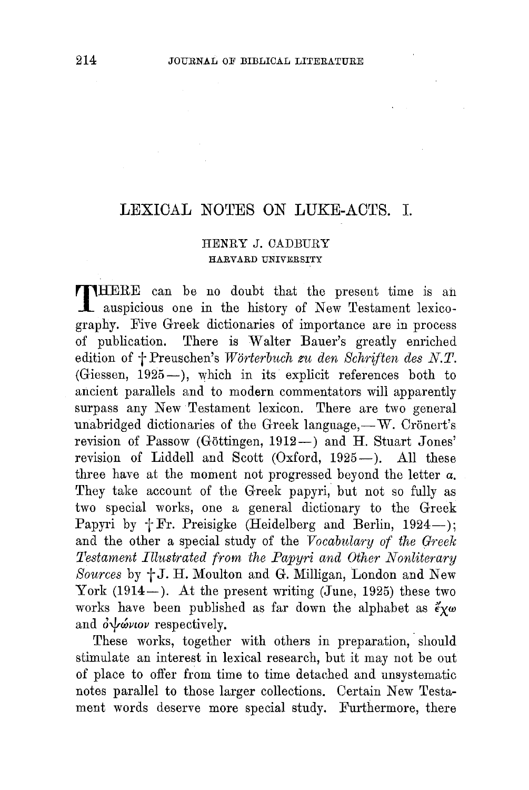#### LEXICAL NOTES ON LUKE-ACTS. I.

#### HENRY J. OADBURY HARVARD UNIVERSITY

THERE can be no doubt that the present time is ail auspicious one in the history of New Testament lexicography. Five Greek dictionaries of importance are in process There is Walter Bauer's greatly enriched edition of  $\dagger$  Preuschen's Wörterbuch zu den Schriften des N.T. (Giessen, 1925-), which in its explicit references both to ancient parallels and to modern commentators will apparently surpass any New Testament lexicon. There are two general unabridged dictionaries of the Greek language, $-W$ . Crönert's revision of Passow (Göttingen, 1912-) and H. Stuart Jones' revision of Liddell and Scott (Oxford, 1925-). All these three have at the moment not progressed beyond the letter *a.*  They take account of the Greek papyri, but not so fully as two special works, one a general dictionary to the Greek Papyri by  $+$  Fr. Preisigke (Heidelberg and Berlin, 1924-); and the other a special study of the *Vocabnlary of the Greek Testament Illustrated from the Papyri and Other Nonliterary* Sources by  $+J$ . H. Moulton and G. Milligan, London and New York  $(1914-)$ . At the present writing (June, 1925) these two works have been published as far down the alphabet as  $\tilde{\epsilon}_{\chi\omega}$ and  $\partial \psi \omega \nu \nu$  respectively.

These works, together with others in preparation, should stimulate an interest in lexical research, but it may not be out of place to offer from time to time detaehed and unsystematic notes parallel to those larger collections. Certain New Testament words deserve more special study. Furthermore, there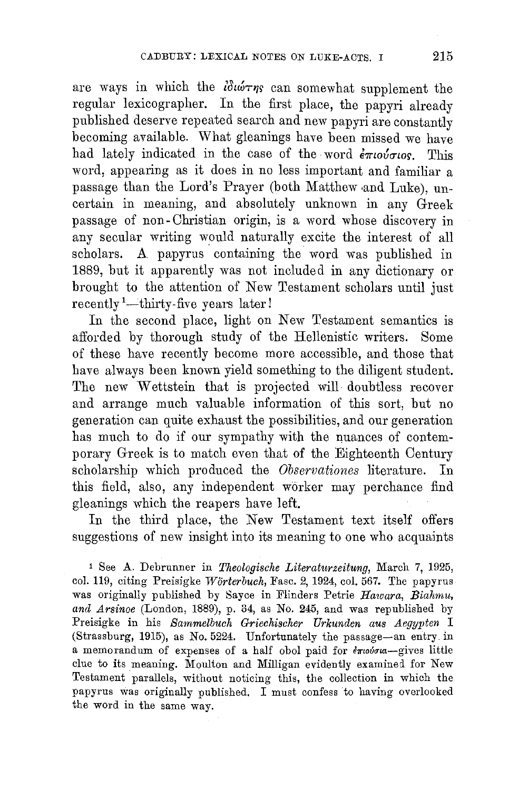are ways in which the  $i\delta\omega \tau \eta s$  can somewhat supplement the regular lexicographer. In the first place, the papyri already published deserve repeated search and new papyri are constantly becoming available. What gleanings have been missed we have had lately indicated in the case of the word  $\epsilon \pi i \omega \sigma i \sigma j$ . This word, appearing as it does in no less important and familiar a passage than the Lord's Prayer (both Matthew and Luke), uncertain in meaning, and absolutely unknown in any Greek passage of non- Christian origin, is a word whose discovery in any secular writing would naturally excite the interest of all scholars. A papyrus containing the word was published in 1889, but it apparently was not included in any dictionary or brought to the attention of New Testament scholars until just recently<sup>1</sup>-thirty-five years later!

In the second place, light on New Testament semantics is afforded by thorough study of the Hellenistic writers. Some of these have recently become more accessible, and those that have always been known yield something to the diligent student. The new Wettstein that is projected will doubtless recover and arrange much valuable information of this sort, but no generation can quite exhaust the possibilities, and our generation has much to do if our sympathy with the nuances of contemporary Greek is to match even that of the Eighteenth Century scholarship which produced the *Observationes* literature. In this field, also, any independent worker may perchance find gleanings which the reapers have left.

In the third place, the New Testament text itself offers suggestions of new insight into its meaning to one who acquaints

<sup>1</sup> See A. Debrunner in *Theologische Literaturzeitung*, March 7, 1925, col. 119, citing Preisigke *Worterbuch,* Fasc. 2, 1924, col. 567. The papyrus was originally published by Sayee in Flinders Petrie *Hawara, Biahmu, and Arsinoe* (London, 1889), p. 34, as No. 245, and was republished by Preisigke in his *Sammelbuch Griechischer Urkunden aus Aegypten* I (Strassburg, 1915), as No. 5224. Unfortunately the passage-an entry. in a memorandum of expenses of a half obol paid for  $\epsilon \pi$ novou-gives little clue to its meaning. Moulton and Milligan evidently examined for New Testament parallels, without noticing this, the collection in which the papyrus was originally published. I must confess to having overlooked the word in the same way.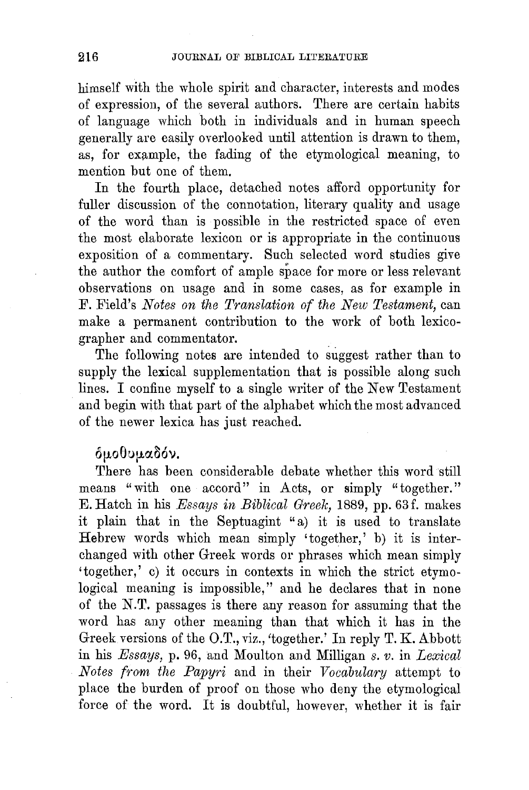himself with the whole spirit and character, interests and modes of expression, of the several authors. There are certain habits of language which both in individuals and in human speech generally are easily overlooked until attention is drawn to them, as, for example, the fading of the etymological meaning, to mention but one of them.

In the fourth place, detached notes afford opportunity for fuller discussion of the connotation, literary quality and usage of the word than is possible in the restricted space of even the most elaborate lexicon or is appropriate in the continuous exposition of a commentary. Such selected word studies give the author the comfort of ample space for more or less relevant observations on usage and in some cases, as for example in F. Field's *Notes on the Translation of the New Testament,* can make a permanent contribution to the work of both lexicographer and commentator.

The following notes are intended to suggest rather than to supply the lexical supplementation that is possible along such lines. I confine myself to a single writer of the New Testament and begin with that part of the alphabet which the most advanced of the newer lexica has just reached.

#### δμοθυμαδόν.

There has been considerable debate whether this word still means "with one accord" in Acts, or simply "together." E. Hatch in his *Essays in Biblical Greek,* 1889, pp. 63 f. makes it plain that in the Septuagint "a) it is used to translate Hebrew words which mean simply 'together,' b) it is interchanged with other Greek words or phrases which mean simply 'together,' c) it occurs in contexts in which the strict etymological meaning is impossible," and he declares that in none of the N.T. passages is there any reason for assuming that the word has any other meaning than that which it has in the Greek versions of the O.T., viz., 'together.' In reply  $T$ . K. Abbott in his *Essays,* p. 96, and Moulton and Milligan *s. v.* in *Lexical Notes from the Papyri* and in their *Vocabulary* attempt to place the burden of proof on those who deny the etymological force of the word. It is doubtful, however, whether it is fair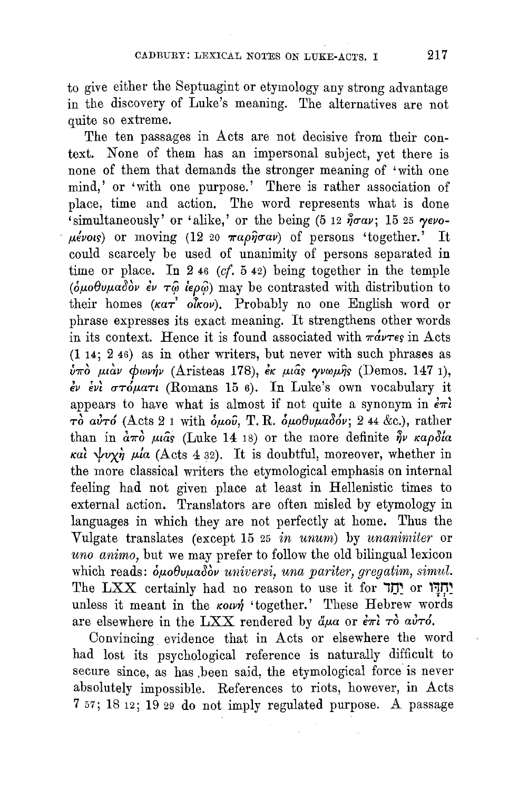to give either the Septuagint or etymology any strong advantage in the discovery of Luke's meaning. The alternatives are not quite so extreme.

The ten passages in Acts are not decisive from their context. None of them has an impersonal subject, yet there is none of them that demands the stronger meaning of 'with one mind,' or 'with one purpose.' There is rather association of place, time and action. The word represents what is done 'simultaneously' or 'alike,' or the being (5 12  $\tilde{\eta}$ σαν; 15 25  $\gamma$ ενο- $\mu$ évots) or moving (12 20  $\pi a \rho \hat{\eta} \sigma a \nu$ ) of persons 'together.' It could scarcely be used of unanimity of persons separated in time or place. In 2 46 *(cf.* 5 42) being together in the temple ( $\delta \mu$ oθυμαδόν έν τ $\hat{\varphi}$  ίερ $\hat{\varphi}$ ) may be contrasted with distribution to their homes  $(\kappa a \tau^2 o \hat{k} o \nu)$ . Probably no one English word or phrase expresses its exact meaning. It strengthens other words in its context. Hence it is found associated with  $\pi \omega \tau_{\epsilon}$  in Acts (114; 2 46) as in other writers, but never with such phrases as ύπο μιάν φωνήν (Aristeas 178), έκ μιάς γνωμής (Demos. 147 1),  $\epsilon v$   $\epsilon v$   $\sigma \tau \phi \mu$ att (Romans 15 6). In Luke's own vocabulary it appears to have what is almost if not quite a synonym in  $\epsilon \pi i$  $\tau\dot{\delta}$  aυτό (Acts 2 1 with δμου, T. R. δμοθυμαδόν; 2 44 &c.), rather than in  $\dot{a}\pi\dot{\sigma}$   $\mu\hat{a}s$  (Luke 14 18) or the more definite  $\hat{\eta}\nu$   $\kappa a\rho\delta a$  $\kappa a$   $\psi v \chi \eta$   $\mu$   $\alpha$  (Acts 4 32). It is doubtful, moreover, whether in the more classical writers the etymological emphasis on internal feeling had not given place at least in Hellenistic times to external action. Translators are often misled by etymology in languages in which they are not perfectly at home. Thus the Vulgate translates (except 15 25 *in unum)* by *tmanirniter* or *uno animo,* but we may prefer to follow the old bilingual lexicon which reads:  $\delta\mu\sigma\theta\nu\mu\sigma\delta\dot{\sigma}\dot{\nu}$  *universi, una pariter, gregatim, simul.* The LXX certainly had no reason to use it for יַחֲדָוּ or , unless it meant in the *kown* 'together.' These Hebrew words are elsewhere in the LXX rendered by  $\ddot{a}\mu a$  or  $\dot{\epsilon}\pi i$   $\tau \dot{\sigma}$  av $\tau \dot{\sigma}$ .

Convincing evidence that in Acts or elsewhere the word had lost its psychological reference is naturally difficult to secure since, as has been said, the etymological force is never absolutely impossible. References to riots, however, in Acts 7 57; 18 12; 19 29 do not imply regulated purpose. A passage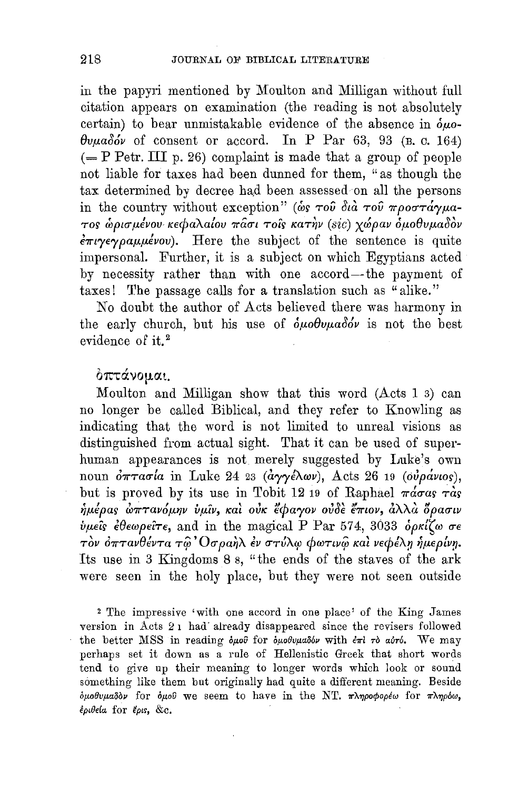in the papyri mentioned by Moulton and Milligan without full citation appears on examination (the reading is not absolutely certain) to bear unmistakable evidence of the absence in  $\delta \mu$ o- $\theta$ v $\mu$ a $\delta \phi'$  of consent or accord. In P Par 63, 93 (B. c. 164)  $(= P$  Petr. III p. 26) complaint is made that a group of people not liable for taxes had been dunned for them, "as though the tax determined by decree had been assessed on all the persons in the country without exception" (wo Tou dia Tou  $\pi\rho$ oo Ta'yua- $\tau$ os ώρισμένου κεφαλαίου πασι τοίς κατήν (sic) χώραν ομοθυμαδον  $\epsilon \pi \nu \gamma \epsilon \gamma \rho a \mu \mu \epsilon \nu \nu$ . Here the subject of the sentence is quite impersonal. Further, it is a subject on which Egyptians acted by necessity rather than with one accord-the payment of taxes! The passage calls for a translation such as "alike."

No doubt the author of Acts believed there was harmony in the early church, but his use of  $\delta \mu \partial \theta \nu \mu a \delta \dot{\theta} \nu$  is not the best evidence of it.<sup>2</sup>

#### $\delta$ πτάνομαι.

Moulton and Milligan show that this word (Acts 1 3) can no longer be called Biblical, and they refer to Knowling as indicating that the word is not limited to unreal visions as distinguished from actual sight. That it can be used of superhuman appearances is not merely suggested by Luke's own noun  $\partial \pi \tau a\sigma a$  in Luke 24 23 (αγγέλων), Acts 26 19 (ουράνιος), but is proved by its use in Tobit 12 19 of Raphael  $\pi \dot{\alpha} \sigma \alpha s$   $\tau \dot{\alpha} s$  $\eta$ μέρας *ώπτανόμην ύμιν*, και ούκ έφαγον ουδε έπιον, αλλα δρασιν  $ν$ μείς έθεωρείτε, and in the magical P Par 574, 3033 ορκίζω σε γμεις ευεωρειτε, and in the magical 1 1 al 51±, 5055 ορκιζω σε<br>τὸν ὀπτανθέντα τῷ Οσραὴλ ἐν στύλφ φωτινῷ καὶ νεφέλη ἡμερίνη. Its use in 3 Kingdoms 8 s, "the ends of the staves of the ark were seen in the holy place, but they were not seen outside

<sup>2</sup>The impressive 'with one accord in one place' of the King James version in Acts 2 1 had· already disappeared since the revisers followed the better MSS in reading δμού for δμοθυμαδόν with  $επl$  rδ αύτό. We may perhaps set it down as a rule of Hellenistic Greek that short words tend to give up their meaning to longer words which look or sound something like them but originally had quite a different meaning. Beside  $\delta\mu$ oθυμαδον for  $\delta\mu$ ού we seem to have in the NT. πληροφορέω for πληρόω, έριθεία for έριs, &c.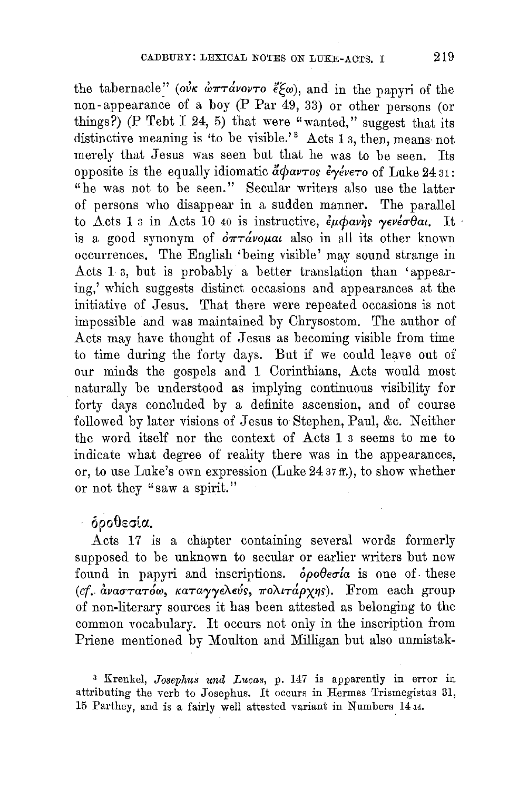the tabernacle" (*ouk wntavovto*  $\ell(\omega)$ , and in the papyri of the non-appearance of a boy (P Par 49, 33) or other persons (or things?) (P Tebt I 24, 5) that were "wanted," suggest that its distinctive meaning is 'to be visible.'<sup>3</sup> Acts 1  $_3$ , then, means not merely that Jesus was seen but that he was to be seen. Its opposite is the equally idiomatic  $\ddot{a}\phi a\nu\tau$ os  $\dot{\epsilon}\gamma\acute{e}\nu\epsilon\tau$ o of Luke 24 31: "he was not to be seen." Secular writers also use the latter of persons who disappear in a sudden manner. The parallel to Acts 1 s in Acts 10 40 is instructive,  $\epsilon_{\mu} \phi \omega_{\eta} \gamma_{s} \gamma_{s} e^{\nu \epsilon_{\sigma} \theta}$ at, It is a good synonym of  $\partial \pi \tau \dot{\alpha}$  *vo* also in all its other known occurrences, The English 'being visible' may sound strange in Acts 1 a, but is probably a better translation than 'appearing,' which suggests distinct occasions and appearances at the initiative of Jesus. That there were repeated occasions is not impossible and was maintained by Chrysostom. The author of Acts may have thought of Jesus as becoming visible from time to time during the forty days. But if we could leave out of our minds the gospels and 1 Corinthians, Acts would most naturally be understood as implying continuous visibility for forty days concluded by a definite ascension, and of course followed by later visions of Jesus to Stephen, Paul, &c. Neither the word itself nor the context of Acts 1 3 seems to me to indicate what degree of reality there was in the appearances, or, to use Luke's own expression (Luke 24.37 ff.), to show whether or not they "saw a spirit."

#### $-$  δροθεσία.

Acts 17 is a chapter containing several words formerly supposed to be unknown to secular or earlier writers but now found in papyri and inscriptions.  $\delta \rho o \theta \epsilon \sigma a$  is one of these (cf. αναστατόω, καταγγελεύς, πολιτάρχης). From each group of non-literary sources it has been attested as belonging to the common vocabulary. It occurs not only in the inscription from Priene mentioned by Moulton and Milligan but also unmistak-

<sup>3</sup> Krenkel, *Josephus und Lucas*, p. 147 is apparently in error in attributing the verb to Josephus. It occurs in Hermes Trismegistus 31, 15 Parthey, and is a fairly well attested variant in Numbers 1414.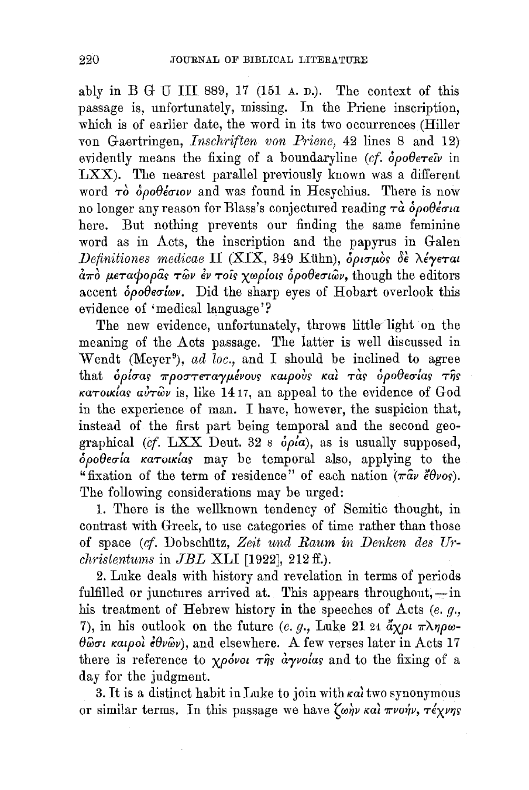ably in B G U III 889, 17 (151  $\alpha$ ,  $\alpha$ ). The context of this passage is, unfortunately, missing. In the Priene inscription, which is of earlier date, the word in its two occurrences (Hiller von Gaertringen, *Inschriften von Priene,* 42 lines 8 and 12} evidently means the fixing of a boundaryline  $(cf. \delta \rho \partial \theta \epsilon \tau \epsilon \hat{\nu}$  in LXX). The nearest parallel previously known was a different word  $\tau\delta$   $\delta\rho\theta\ell\epsilon\sigma\iota\omega$  and was found in Hesychius. There is now no longer any reason for Blass's conjectured reading  $\tau \dot{a}$   $\dot{\delta} \rho \partial \dot{\theta} \dot{\epsilon} \sigma u$ here. But nothing prevents our finding the same feminine word as in Acts, the inscription and the papyrus in Galen  $Definitiones$  medicae II (XIX, 349 Kühn),  $\delta\rho\sigma\mu\dot{\sigma}s$   $\delta\epsilon$   $\lambda\epsilon\gamma\epsilon\tau a\iota$  $\frac{\partial \pi}{\partial r}$  μεταφορας των εν τοις χωρίοις *δροθεσι*ων, though the editors accent  $\delta\rho$ *oberlwv.* Did the sharp eyes of Hobart overlook this evidence of 'medical language'?

The new evidence, unfortunately, throws little light on the meaning of the Acts passage. The latter is well discussed in Wendt (Meyer<sup>9</sup>), *ad loc.*, and I should be inclined to agree that *δρίσας προστεταγμένους καιρούς και τας δροθεσίας της*  $\kappa a \tau o \kappa l a s$   $a \nu \tau \hat{\omega} \nu$  is, like 1417, an appeal to the evidence of God in the experience of man. I have, however, the suspicion that, instead of the first part being temporal and the second geographical *(cf.* LXX Deut. 32 s *opla),* as is usually supposed,  $\delta\rho$ oθεσία κατοικίας may be temporal also, applying to the "fixation of the term of residence" of each nation  $(\pi \hat{a} \nu \hat{\epsilon} \theta \nu o s)$ . The following considerations may be urged:

1. There is the wellknown tendency of Semitic thought, in contrast with Greek, to use categories of time rather than those of space *(cf.* Dobschiitz, *Zeit und Raum in Denken des Urchristentums* in *JBL* XLI [1922], 212 ff.).

2. Luke deals with history and revelation in terms of periods fulfilled or junctures arrived at. This appears throughout,  $-\text{in}$ his treatment of Hebrew history in the speeches of Acts (e. g., 7), in his outlook on the future (e. g., Luke 21 24  $\partial \chi \rho \nu \pi \lambda \eta \rho \omega$ - $\theta \hat{\omega} \sigma \iota$  *kalpol*  $\epsilon \theta \nu \hat{\omega} \nu$ ), and elsewhere. A few verses later in Acts 17 there is reference to  $\chi \rho \acute{\phi}$ vol  $\tau \hat{\eta}$ s *a yvolas* and to the fixing of a day for the judgment.

3. It is a distinct habit in Luke to join with  $\kappa a$  two synonymous or similar terms. In this passage we have  $\zeta_{\omega\eta\nu}$  wal  $\pi\nu$ on/v,  $\tau\acute{\epsilon}\chi\nu\eta s$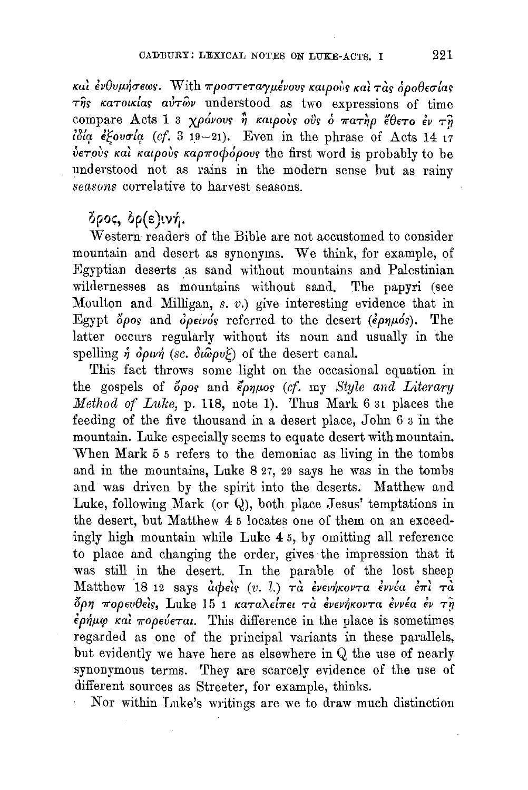και ένθυμήσεως. With προστεταγμένους καιρούς και τας όροθεσίας  $\tau$ ης κατοικίας αυτών understood as two expressions of time compare Acts 1 3 χρόνους ή καιρούς ούς ο πατήρ έθετο έν τη ύετους και καιρούς καρποφόρους the first word is probably to be understood not as rains in the modern sense but as rainy seasons correlative to harvest seasons.

#### δρος, δρ(ε)ινή.

Western readers of the Bible are not accustomed to consider mountain and desert as synonyms. We think, for example, of Egyptian deserts as sand without mountains and Palestinian wildernesses as mountains without sand. The papyri (see Moulton and Milligan, s. v.) give interesting evidence that in Egypt  $\delta \rho$ os and  $\delta \rho \epsilon \nu \rho \delta s$  referred to the desert ( $\epsilon \rho \eta \mu \delta s$ ). The latter occurs regularly without its noun and usually in the spelling  $\eta$   $\partial \rho \nu \eta$  (sc.  $\partial \omega \rho \nu \xi$ ) of the desert canal.

This fact throws some light on the occasional equation in the gospels of opos and  $\epsilon_{\rho\eta\mu\sigma\sigma}$  (cf. my Style and Literary Method of Luke, p. 118, note 1). Thus Mark 6 31 places the feeding of the five thousand in a desert place, John 6 3 in the mountain. Luke especially seems to equate desert with mountain. When Mark 5 5 refers to the demoniac as living in the tombs and in the mountains, Luke 8 27, 29 says he was in the tombs and was driven by the spirit into the deserts. Matthew and Luke, following Mark (or  $Q$ ), both place Jesus' temptations in the desert, but Matthew 4 5 locates one of them on an exceedingly high mountain while Luke 4 5, by omitting all reference to place and changing the order, gives the impression that it was still in the desert. In the parable of the lost sheep Matthew 18 12 says  $\dot{a}$  $\phi$ eis (v. l.)  $\tau\dot{a}$  ένενήκοντα έννέα έπι τα όρη πορευθείς, Luke 15<sup>'</sup>1 καταλείπει τα ενενήκοντα εννέα εν τη  $\epsilon \rho \dot{\eta} \mu \omega$  και πορεύεται. This difference in the place is sometimes regarded as one of the principal variants in these parallels, but evidently we have here as elsewhere in Q the use of nearly synonymous terms. They are scarcely evidence of the use of different sources as Streeter, for example, thinks.

Nor within Luke's writings are we to draw much distinction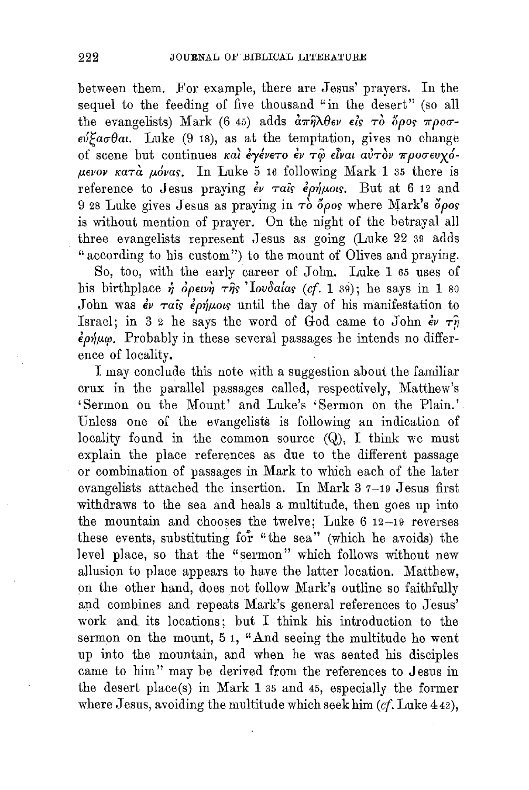between them. For example, there are Jesus' prayers. In the sequel to the feeding of five thousand "in the desert" (so all the evangelists) Mark (6 45) adds  $\frac{\partial \pi}{\partial \theta}$ ev eis  $\tau \delta$   $\delta \rho o_S \pi \rho o \sigma$ - $\epsilon v \epsilon \sigma \theta$ a. Luke (9 18), as at the temptation, gives no change Of SCene but COntinues *Kat f"/eV€TO fV Tlp etvat atiTOV 7rp0(]"€Ux6 fJ..€VOV KaTa* p..6va~. In Luke 5 16 following Mark 1 35 there is reference to Jesus praying  $\epsilon v$   $\tau a$  is  $\epsilon \rho \dot{\eta} \mu \rho \dot{\eta}$ . But at 6 12 and 9 28 Luke gives Jesus as praying in  $\tau_0$  *doos* where Mark's  $\delta \rho$ os is without mention of prayer. On the night of the betrayal all three evangelists represent Jesus as going (Luke 22 39 adds " according to his custom") to the mount of Olives and praying.

So, too, with the early career of John. Luke 1 65 uses of his birthplace  $\dot{\eta}$   $\dot{\phi}$ *petvi*  $\tau \hat{\eta}$ s 'lovoa*las* (*cf.* 1 39); he says in 1 80 John was  $\dot{\epsilon}$   $\tau a$  is  $\dot{\epsilon}$   $\dot{\rho}$   $\dot{\eta}$   $\mu$  ous until the day of his manifestation to Israel; in 3 2 he says the word of God came to John  $\epsilon v \tau \hat{y}$  $\epsilon \rho \dot{\eta} \mu \dot{\varphi}$ . Probably in these several passages he intends no difference of locality.

I may conclude this note with a suggestion about the familiar crux in the parallel passages called, respectively, Matthew's 'Sermon on the Mount' and Luke's 'Sermon on the Plain.' Unless one of the evangelists is following an indication of locality found in the common source  $(Q)$ , I think we must explain the place references as due to the different passage or combination of passages in Mark to which each of the later evangelists attached the insertion. In Mark 3 7-19 Jesus first withdraws to the sea and heals a multitude, then goes up into the mountain and chooses the twelve; Luke 6 12-19 reverses these events, substituting for "the sea" (which he avoids) the level place, so that the "sermon" which follows without new allusion to place appears to have the latter location. Matthew, on the other hand, does not follow Mark's outline so faithfully and combines and repeats Mark's general references to Jesus' work and. its locations; but I think his introduction to the sermon on the mount, 5 1, "And seeing the multitude he went up into the mountain, and when he was seated his disciples came to him" may be derived from the references to Jesus in the desert place(s) in Mark 1 35 and 45, especially the former where Jesus, avoiding the multitude which seek him *(cf.* Luke 442),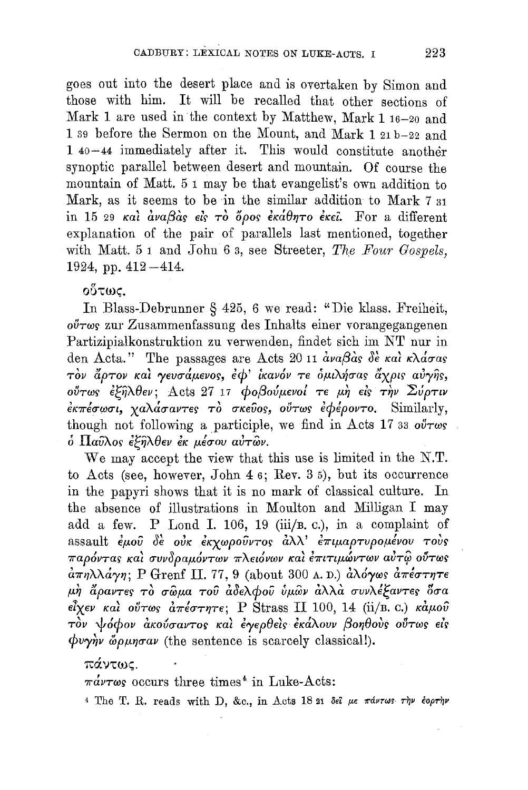goes out into the desert place and is overtaken by Simon and those with him. It will be recalled that other sections of Mark 1 are used in the context by Matthew, Mark 1 16-20 and 1 39 before the Sermon on the Mount, and Mark 1 21 b-22 and 1 40-44 immediately after it. This would constitute another synoptic parallel between desert and mountain. Of course the mountain of Matt. 5 1 may be that evangelist's own addition to Mark, as it seems to be in the similar addition to Mark 7 31 in 15 29 και αναβάς είς το όρος εκάθητο εκεί. For a different explanation of the pair of parallels last mentioned, together with Matt. 5 1 and John 6 3, see Streeter, The Four Gospels, 1924, pp.  $412 - 414$ .

οὕτως,

In Blass-Debrunner § 425, 6 we read: "Die klass. Freiheit,  $o\tilde{\theta}\tau\omega s$  zur Zusammenfassung des Inhalts einer vorangegangenen Partizipialkonstruktion zu verwenden, findet sich im NT nur in den Acta." The passages are Acts 20 11  $\frac{\partial v}{\partial s}$  of  $\frac{\partial \dot{\theta}}{\partial s}$   $\frac{\partial \dot{\theta}}{\partial s}$   $\frac{\partial \dot{\theta}}{\partial s}$ τον άρτον και γευσάμενος, έφ' ικανόν τε ομιλήσας άχρις αυγής, ούτως εξήλθεν; Acts 27 17 φοβούμενοί τε μή είς την Σύρτιν  $\epsilon \kappa \pi \epsilon \sigma \omega \sigma \iota$ , χαλάσαντες το σκεύος, ούτως εφέροντο. Similarly, though not following a participle, we find in Acts 17 33  $o\tilde{v} \tau \omega s$ ό Παύλος έξηλθεν έκ μέσου αύτων.

We may accept the view that this use is limited in the N.T. to Acts (see, however, John 4 6; Rev. 3 5), but its occurrence in the papyri shows that it is no mark of classical culture. In the absence of illustrations in Moulton and Milligan I may add a few. P Lond I. 106, 19 (iii/B. c.), in a complaint of assault έμου δε ούκ έκχωρούντος άλλ' επιμαρτυρομένου τους παρόντας και συνδραμόντων πλειόνων και επιτιμώντων αύτω ούτως  $d\pi\eta\lambda\lambda d\gamma\eta$ ; P Grenf II. 77, 9 (about 300 A.D.) αλόγως  $d\pi\epsilon\sigma\tau\eta\tau\epsilon$ μή άραντες το σωμα του αδελφου ύμων αλλα συνλέξαντες δσα  $\epsilon \hat{i} \chi \epsilon \nu$  και ούτως απέστητε; P Strass II 100, 14 (ii/B. C.) καμού τον ψόφον ακούσαντος και έγερθείς εκάλουν βοηθούς ούτως είς  $\phi$ *v* $\gamma$  $\gamma$ *v* $\phi$  $\phi$ *<sub><i>ungav* (the sentence is scarcely classical!).</sub>

πάντως

 $\pi \dot{a} \nu \tau \omega s$  occurs three times<sup>4</sup> in Luke-Acts:

<sup>4</sup> The T. R. reads with D, &c., in Acts 18 21 Set με πάντως την έορτην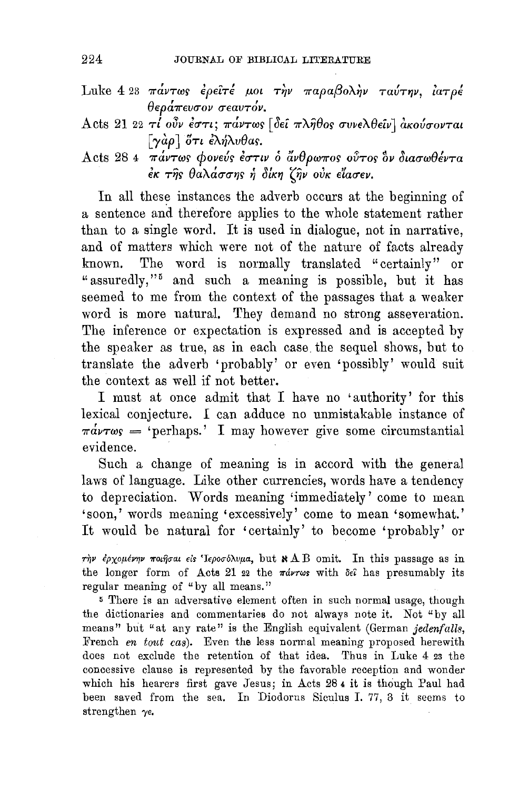- Luke 4 23 πάντως έρειτέ μοι την παραβολήν ταύτην, ίατρέ θεράπευσον σεαυτόν.
- Acts 21 22  $\tau l$  ούν έστι; πάντως [δεί πλήθος συνελθείν] ακούσονται  $\lceil \gamma \dot{\alpha} \rho \rceil$  ότι έλήλυθας.
- Acts 28 4 πάντως φονεύς έστιν ο άνθρωπος ούτος δν διασωθέντα έκ της θαλάσσης ή δίκη ζην ούκ είασεν.

In all these instances the adverb occurs at the beginning of a sentence and therefore applies to the whole statement rather than to a single word. It is used in dialogue, not in narrative, and of matters which were not of the nature of facts already The word is normally translated "certainly" or known. "assuredly,"<sup>5</sup> and such a meaning is possible, but it has seemed to me from the context of the passages that a weaker word is more natural. They demand no strong asseveration. The inference or expectation is expressed and is accepted by the speaker as true, as in each case the sequel shows, but to translate the adverb 'probably' or even 'possibly' would suit the context as well if not better.

I must at once admit that I have no 'authority' for this lexical conjecture. I can adduce no unmistakable instance of  $\pi \dot{a} \nu \tau \omega s =$  'perhaps.' I may however give some circumstantial evidence.

Such a change of meaning is in accord with the general laws of language. Like other currencies, words have a tendency to depreciation. Words meaning 'immediately' come to mean 'soon,' words meaning 'excessively' come to mean 'somewhat.' It would be natural for 'certainly' to become 'probably' or

την έρχομένην ποιήσαι είς Ιεροσόλυμα, but  $\mathbf{A}$  B omit. In this passage as in the longer form of Acts 21 22 the  $\pi\omega r\omega s$  with  $\delta\epsilon\hat{i}$  has presumably its regular meaning of "by all means."

<sup>5</sup> There is an adversative element often in such normal usage, though the dictionaries and commentaries do not always note it. Not "by all means" but "at any rate" is the English equivalent (German jedenfalls, French en tout cas). Even the less normal meaning proposed herewith does not exclude the retention of that idea. Thus in Luke 4 23 the concessive clause is represented by the favorable reception and wonder which his hearers first gave Jesus; in Acts 284 it is though Paul had been saved from the sea. In Diodorus Siculus I. 77, 3 it seems to strengthen  $\gamma$ e.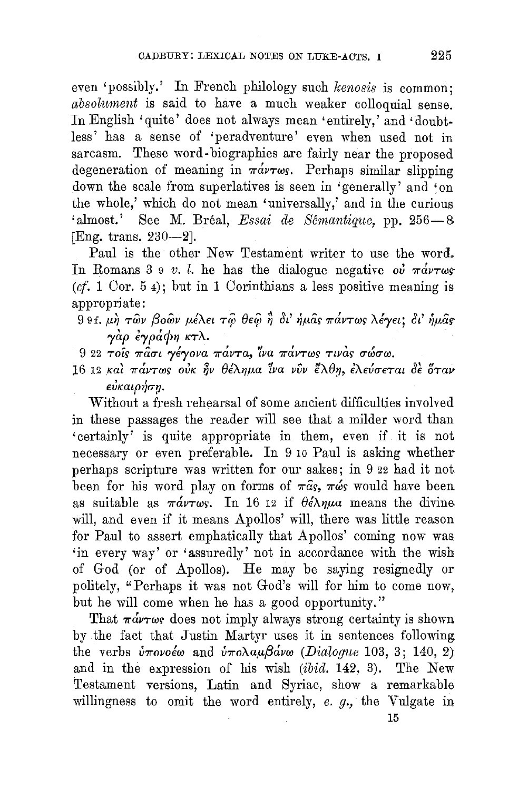even 'possibly.' In French philology such kenosis is common; absolument is said to have a much weaker colloquial sense. In English 'quite' does not always mean 'entirely,' and 'doubtless' has a sense of 'peradventure' even when used not in sarcasm. These word-biographies are fairly near the proposed degeneration of meaning in  $\pi \dot{\alpha} \nu \tau \omega s$ . Perhaps similar slipping down the scale from superlatives is seen in 'generally' and 'on the whole,' which do not mean 'universally,' and in the curious 'almost.' See M. Bréal, Essai de Sémantique, pp. 256-8 [Eng. trans. 230-2].

Paul is the other New Testament writer to use the word. In Romans 3 9 v. l. he has the dialogue negative  $o\dot{v}$   $\pi \dot{a}v\tau \omega s$  $(cf. 1 Cor. 54)$ ; but in 1 Corinthians a less positive meaning is appropriate:

- 9 9 f. μη των βοών μέλει τω θεώ η δι' ήμας πάντως λέγει: δι' ήμας γάρ έγράφη κτλ.
- 9 22 τοίς πάσι γέγονα πάντα, ίνα πάντως τινάς σώσω.
- 16 12 και πάντως ούκ ην θέλημα ίνα νύν έλθη, ελεύσεται δε όταν εὐκαιρήση.

Without a fresh rehearsal of some ancient difficulties involved in these passages the reader will see that a milder word than 'certainly' is quite appropriate in them, even if it is not necessary or even preferable. In 9 10 Paul is asking whether perhaps scripture was written for our sakes; in 9 22 had it not been for his word play on forms of  $\pi \hat{a}$ s,  $\pi \hat{\omega}$ s would have been as suitable as  $\pi \hat{a} \nu \hat{\tau} \omega s$ . In 16 12 if  $\theta \hat{\epsilon} \lambda \eta \mu a$  means the divine will, and even if it means Apollos' will, there was little reason for Paul to assert emphatically that Apollos' coming now was 'in every way' or 'assuredly' not in accordance with the wish of God (or of Apollos). He may be saying resignedly or politely, "Perhaps it was not God's will for him to come now, but he will come when he has a good opportunity."

That  $\pi \dot{\alpha} \nu \tau \omega s$  does not imply always strong certainty is shown by the fact that Justin Martyr uses it in sentences following the verbs  $\dot{v}\pi\dot{o}$ voέω and  $\dot{v}\pi\dot{o}$ λαμβάνω (Dialogue 103, 3; 140, 2) and in the expression of his wish (ibid. 142, 3). The New Testament versions, Latin and Syriac, show a remarkable willingness to omit the word entirely,  $e$ ,  $g$ , the Vulgate in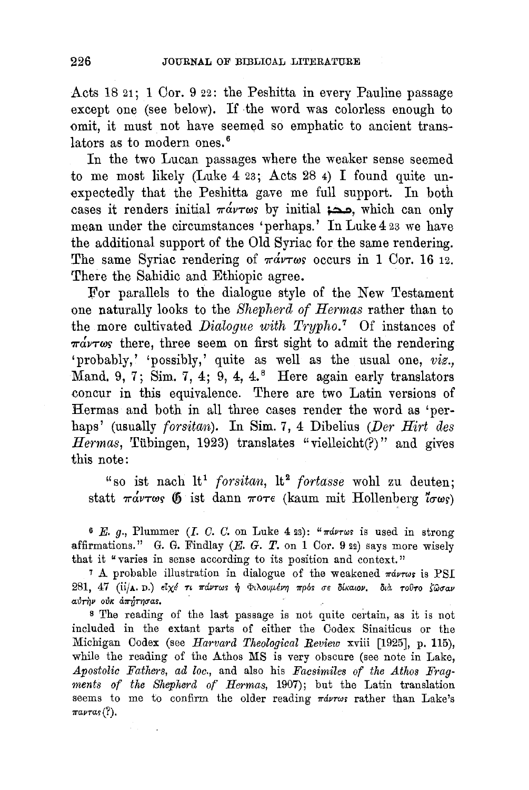Acts 18 21; 1 Cor. 9 22: the Peshitta in every Pauline passage except one (see below). If the word was colorless enough to omit, it must not have seemed so emphatic to ancient translators as to modern ones.<sup>6</sup>

In the two Lucan passages where the weaker sense seemed to me most likely (Luke 4 23; Acts 28 4) I found quite unexpectedly that the Peshitta gave me full support. In both cases it renders initial  $\pi \omega \tau \omega s$  by initial  $\infty$ . which can only mean under the circumstances 'perhaps.' In Luke 4 23 we have the additional support of the Old Syriac for the same rendering. The same Syriac rendering of  $\pi \omega \tau \omega s$  occurs in 1 Cor. 16 12. There the Sahidic and Ethiopic agree.

]'or parallels to the dialogue style of the New Testament one naturally looks to the *Shepherd of Hermas* rather than to the more cultivated *Dialogue with Trypho.* 7 Of instances of  $\pi \dot{\alpha} \nu \tau \omega s$  there, three seem on first sight to admit the rendering 'probably,' 'possibly,' quite as well as the usual one, *viz.,*  Mand. 9, 7; Sim. 7, 4;  $9, 4, 4$ . Here again early translators concur in this equivalence. There are two Latin versions of Hermas and both in all three cases render the word as 'perhaps' (usually *forsitan).* In Sim. 7, 4 Dibelius *(Der Hirt des*  Hermas, Tübingen, 1923) translates "vielleicht(?)" and gives this note:

"so ist nach lt<sup>1</sup> forsitan, lt<sup>2</sup> fortasse wohl zu deuten; statt  $\pi\omega\tau\omega s$  (5 ist dann  $\pi\sigma\tau\epsilon$  (kaum mit Hollenberg  $\sigma\omega s$ )

6 E.  $g_1$ , Plummer (I. C. C. on Luke 4 23): " $\pi d\nu\tau\omega s$  is used in strong affirmations." G. G. Findlay  $(E. G. T.$  on 1 Cor. 9 22) says more wisely that it "varies in sense according to its position and context."

<sup>7</sup> A probable illustration in dialogue of the weakened  $\pi\omega\tau\omega s$  is PSI 281, 47 (ii/A. D.) *dxé τι πάντως ή Φιλουμένη πρός σε δίκαιον*, διά τούτο ζώσαν aυτήν ούκ απήτησας.

<sup>8</sup> The reading of the last passage is not quite certain, as it is not included in the extant parts of either the Codex Sinaiticus or the Michigan Codex (see *Harvard Theological Review* xviii [1925], p. 115), while the reading of the Athos MS is very obscure (see note in Lake, Apostolic Fathers, ad loc., and also his Facsimiles of the Athos Frag*ments of the Shepherd of Hermas,* 1907); but the Latin translation seems to me to confirm the older reading  $\pi\omega r\omega s$  rather than Lake's  $\pi\pi\mu\tau\alpha_5(?)$ .